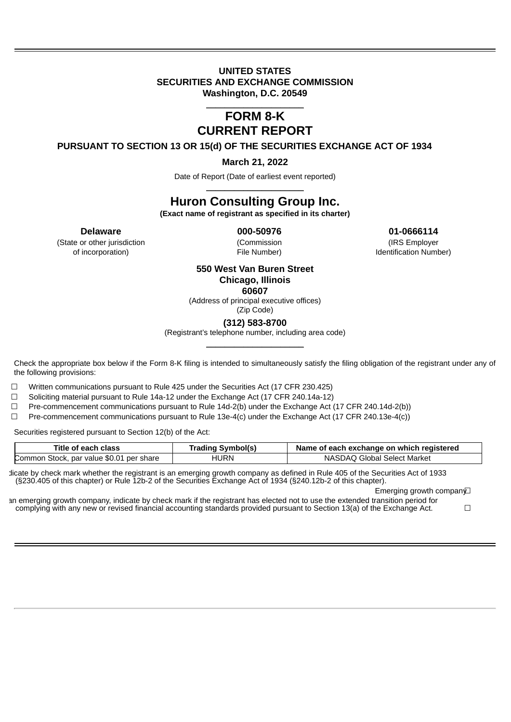### **UNITED STATES SECURITIES AND EXCHANGE COMMISSION Washington, D.C. 20549**

### \_\_\_\_\_\_\_\_\_\_\_\_\_\_\_\_\_\_\_\_\_ **FORM 8-K CURRENT REPORT**

**PURSUANT TO SECTION 13 OR 15(d) OF THE SECURITIES EXCHANGE ACT OF 1934**

**March 21, 2022**

Date of Report (Date of earliest event reported) \_\_\_\_\_\_\_\_\_\_\_\_\_\_\_\_\_\_\_\_\_

## **Huron Consulting Group Inc.**

**(Exact name of registrant as specified in its charter)**

(State or other jurisdiction (Commission (IRS Employer of incorporation) File Number) Identification Number)

**Delaware 000-50976 01-0666114**

### **550 West Van Buren Street Chicago, Illinois 60607**

(Address of principal executive offices)

(Zip Code)

**(312) 583-8700**

(Registrant's telephone number, including area code) \_\_\_\_\_\_\_\_\_\_\_\_\_\_\_\_\_\_\_\_\_

Check the appropriate box below if the Form 8-K filing is intended to simultaneously satisfy the filing obligation of the registrant under any of the following provisions:

 $\Box$  Written communications pursuant to Rule 425 under the Securities Act (17 CFR 230.425)

 $\Box$  Soliciting material pursuant to Rule 14a-12 under the Exchange Act (17 CFR 240.14a-12)

 $\Box$  Pre-commencement communications pursuant to Rule 14d-2(b) under the Exchange Act (17 CFR 240.14d-2(b))

☐ Pre-commencement communications pursuant to Rule 13e-4(c) under the Exchange Act (17 CFR 240.13e-4(c))

Securities registered pursuant to Section 12(b) of the Act:

| Title of each class                      | Trading Symbol(s) | Name of each exchange on which registered |
|------------------------------------------|-------------------|-------------------------------------------|
| Common Stock, par value \$0.01 per share | HURN              | NASDAO Global Select Market               |

dicate by check mark whether the registrant is an emerging growth company as defined in Rule 405 of the Securities Act of 1933 (§230.405 of this chapter) or Rule 12b-2 of the Securities Exchange Act of 1934 (§240.12b-2 of this chapter).

Emerging growth compan∨

an emerging growth company, indicate by check mark if the registrant has elected not to use the extended transition period for complying with any new or revised financial accounting standards provided pursuant to Section 13(a) of the Exchange Act.  $□$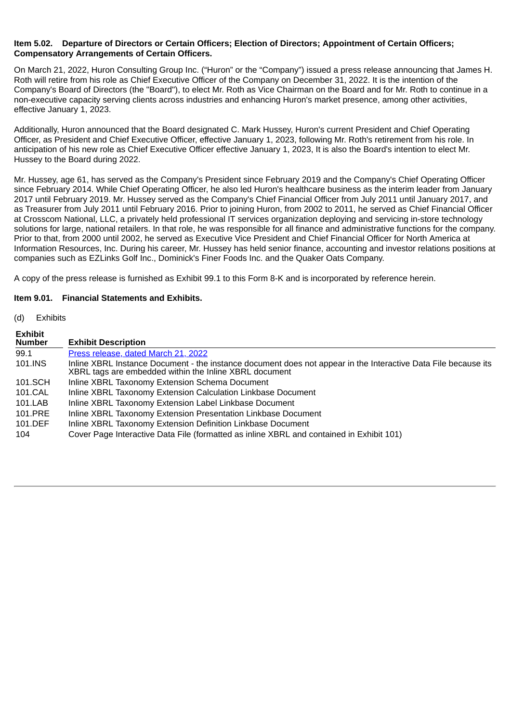### **Item 5.02. Departure of Directors or Certain Officers; Election of Directors; Appointment of Certain Officers; Compensatory Arrangements of Certain Officers.**

On March 21, 2022, Huron Consulting Group Inc. ("Huron" or the "Company") issued a press release announcing that James H. Roth will retire from his role as Chief Executive Officer of the Company on December 31, 2022. It is the intention of the Company's Board of Directors (the "Board"), to elect Mr. Roth as Vice Chairman on the Board and for Mr. Roth to continue in a non-executive capacity serving clients across industries and enhancing Huron's market presence, among other activities, effective January 1, 2023.

Additionally, Huron announced that the Board designated C. Mark Hussey, Huron's current President and Chief Operating Officer, as President and Chief Executive Officer, effective January 1, 2023, following Mr. Roth's retirement from his role. In anticipation of his new role as Chief Executive Officer effective January 1, 2023, It is also the Board's intention to elect Mr. Hussey to the Board during 2022.

Mr. Hussey, age 61, has served as the Company's President since February 2019 and the Company's Chief Operating Officer since February 2014. While Chief Operating Officer, he also led Huron's healthcare business as the interim leader from January 2017 until February 2019. Mr. Hussey served as the Company's Chief Financial Officer from July 2011 until January 2017, and as Treasurer from July 2011 until February 2016. Prior to joining Huron, from 2002 to 2011, he served as Chief Financial Officer at Crosscom National, LLC, a privately held professional IT services organization deploying and servicing in-store technology solutions for large, national retailers. In that role, he was responsible for all finance and administrative functions for the company. Prior to that, from 2000 until 2002, he served as Executive Vice President and Chief Financial Officer for North America at Information Resources, Inc. During his career, Mr. Hussey has held senior finance, accounting and investor relations positions at companies such as EZLinks Golf Inc., Dominick's Finer Foods Inc. and the Quaker Oats Company.

A copy of the press release is furnished as Exhibit 99.1 to this Form 8-K and is incorporated by reference herein.

### **Item 9.01. Financial Statements and Exhibits.**

(d) Exhibits

| Exhibit<br>Number | <b>Exhibit Description</b>                                                                                                                                               |
|-------------------|--------------------------------------------------------------------------------------------------------------------------------------------------------------------------|
| 99.1              | Press release, dated March 21, 2022                                                                                                                                      |
| 101.INS           | Inline XBRL Instance Document - the instance document does not appear in the Interactive Data File because its<br>XBRL tags are embedded within the Inline XBRL document |
| 101.SCH           | Inline XBRL Taxonomy Extension Schema Document                                                                                                                           |
| 101.CAL           | Inline XBRL Taxonomy Extension Calculation Linkbase Document                                                                                                             |
| 101.LAB           | Inline XBRL Taxonomy Extension Label Linkbase Document                                                                                                                   |
| 101.PRE           | Inline XBRL Taxonomy Extension Presentation Linkbase Document                                                                                                            |
| 101.DEF           | Inline XBRL Taxonomy Extension Definition Linkbase Document                                                                                                              |
| 104               | Cover Page Interactive Data File (formatted as inline XBRL and contained in Exhibit 101)                                                                                 |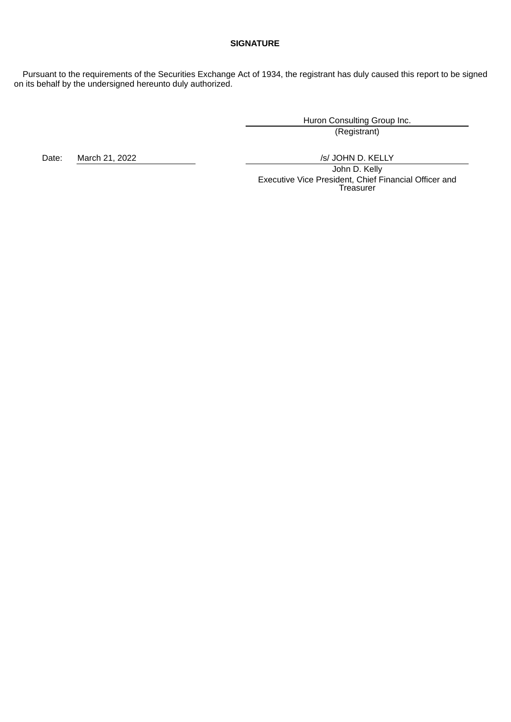### **SIGNATURE**

Pursuant to the requirements of the Securities Exchange Act of 1934, the registrant has duly caused this report to be signed on its behalf by the undersigned hereunto duly authorized.

> Huron Consulting Group Inc. (Registrant)

Date: March 21, 2022 **/s/ JOHN D. KELLY** 

John D. Kelly Executive Vice President, Chief Financial Officer and Treasurer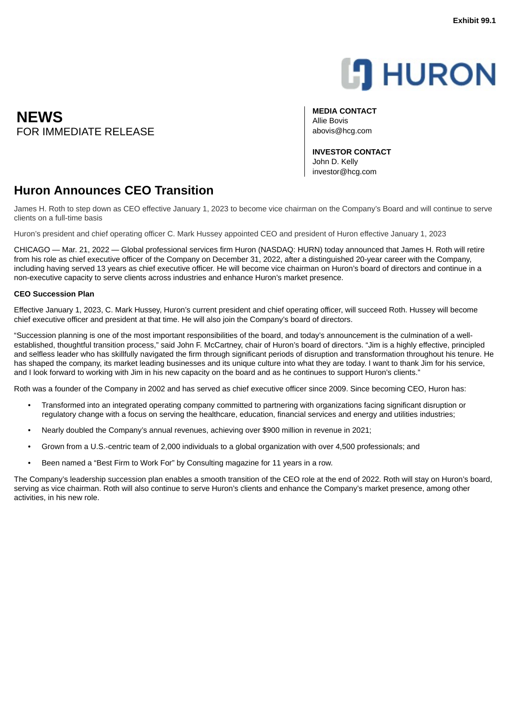# **L'I** HURON

**MEDIA CONTACT** Allie Bovis

**INVESTOR CONTACT** John D. Kelly investor@hcg.com

## **Huron Announces CEO Transition**

James H. Roth to step down as CEO effective January 1, 2023 to become vice chairman on the Company's Board and will continue to serve clients on a full-time basis

Huron's president and chief operating officer C. Mark Hussey appointed CEO and president of Huron effective January 1, 2023

CHICAGO — Mar. 21, 2022 — Global professional services firm Huron (NASDAQ: HURN) today announced that James H. Roth will retire from his role as chief executive officer of the Company on December 31, 2022, after a distinguished 20-year career with the Company, including having served 13 years as chief executive officer. He will become vice chairman on Huron's board of directors and continue in a non-executive capacity to serve clients across industries and enhance Huron's market presence.

### **CEO Succession Plan**

Effective January 1, 2023, C. Mark Hussey, Huron's current president and chief operating officer, will succeed Roth. Hussey will become chief executive officer and president at that time. He will also join the Company's board of directors.

"Succession planning is one of the most important responsibilities of the board, and today's announcement is the culmination of a wellestablished, thoughtful transition process," said John F. McCartney, chair of Huron's board of directors. "Jim is a highly effective, principled and selfless leader who has skillfully navigated the firm through significant periods of disruption and transformation throughout his tenure. He has shaped the company, its market leading businesses and its unique culture into what they are today. I want to thank Jim for his service, and I look forward to working with Jim in his new capacity on the board and as he continues to support Huron's clients."

Roth was a founder of the Company in 2002 and has served as chief executive officer since 2009. Since becoming CEO, Huron has:

- Transformed into an integrated operating company committed to partnering with organizations facing significant disruption or regulatory change with a focus on serving the healthcare, education, financial services and energy and utilities industries;
- Nearly doubled the Company's annual revenues, achieving over \$900 million in revenue in 2021;
- Grown from a U.S.-centric team of 2,000 individuals to a global organization with over 4,500 professionals; and
- Been named a "Best Firm to Work For" by Consulting magazine for 11 years in a row.

The Company's leadership succession plan enables a smooth transition of the CEO role at the end of 2022. Roth will stay on Huron's board, serving as vice chairman. Roth will also continue to serve Huron's clients and enhance the Company's market presence, among other activities, in his new role.

<span id="page-3-0"></span>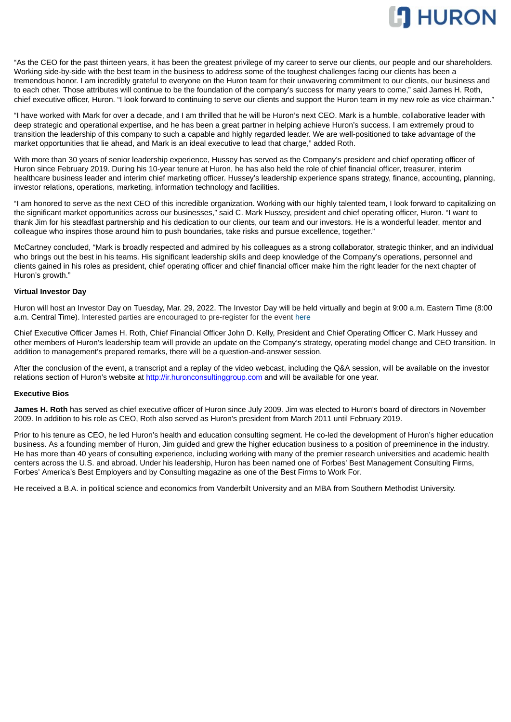

"As the CEO for the past thirteen years, it has been the greatest privilege of my career to serve our clients, our people and our shareholders. Working side-by-side with the best team in the business to address some of the toughest challenges facing our clients has been a tremendous honor. I am incredibly grateful to everyone on the Huron team for their unwavering commitment to our clients, our business and to each other. Those attributes will continue to be the foundation of the company's success for many years to come," said James H. Roth, chief executive officer, Huron. "I look forward to continuing to serve our clients and support the Huron team in my new role as vice chairman."

"I have worked with Mark for over a decade, and I am thrilled that he will be Huron's next CEO. Mark is a humble, collaborative leader with deep strategic and operational expertise, and he has been a great partner in helping achieve Huron's success. I am extremely proud to transition the leadership of this company to such a capable and highly regarded leader. We are well-positioned to take advantage of the market opportunities that lie ahead, and Mark is an ideal executive to lead that charge," added Roth.

With more than 30 years of senior leadership experience, Hussey has served as the Company's president and chief operating officer of Huron since February 2019. During his 10-year tenure at Huron, he has also held the role of chief financial officer, treasurer, interim healthcare business leader and interim chief marketing officer. Hussey's leadership experience spans strategy, finance, accounting, planning, investor relations, operations, marketing, information technology and facilities.

"I am honored to serve as the next CEO of this incredible organization. Working with our highly talented team, I look forward to capitalizing on the significant market opportunities across our businesses," said C. Mark Hussey, president and chief operating officer, Huron. "I want to thank Jim for his steadfast partnership and his dedication to our clients, our team and our investors. He is a wonderful leader, mentor and colleague who inspires those around him to push boundaries, take risks and pursue excellence, together."

McCartney concluded, "Mark is broadly respected and admired by his colleagues as a strong collaborator, strategic thinker, and an individual who brings out the best in his teams. His significant leadership skills and deep knowledge of the Company's operations, personnel and clients gained in his roles as president, chief operating officer and chief financial officer make him the right leader for the next chapter of Huron's growth."

### **Virtual Investor Day**

Huron will host an Investor Day on Tuesday, Mar. 29, 2022. The Investor Day will be held virtually and begin at 9:00 a.m. Eastern Time (8:00 a.m. Central Time). Interested parties are encouraged to pre-register for the event here

Chief Executive Officer James H. Roth, Chief Financial Officer John D. Kelly, President and Chief Operating Officer C. Mark Hussey and other members of Huron's leadership team will provide an update on the Company's strategy, operating model change and CEO transition. In addition to management's prepared remarks, there will be a question-and-answer session.

After the conclusion of the event, a transcript and a replay of the video webcast, including the Q&A session, will be available on the investor relations section of Huron's website at http://ir.huronconsultinggroup.com and will be available for one year.

#### **Executive Bios**

**James H. Roth** has served as chief executive officer of Huron since July 2009. Jim was elected to Huron's board of directors in November 2009. In addition to his role as CEO, Roth also served as Huron's president from March 2011 until February 2019.

Prior to his tenure as CEO, he led Huron's health and education consulting segment. He co-led the development of Huron's higher education business. As a founding member of Huron, Jim guided and grew the higher education business to a position of preeminence in the industry. He has more than 40 years of consulting experience, including working with many of the premier research universities and academic health centers across the U.S. and abroad. Under his leadership, Huron has been named one of Forbes' Best Management Consulting Firms, Forbes' America's Best Employers and by Consulting magazine as one of the Best Firms to Work For.

He received a B.A. in political science and economics from Vanderbilt University and an MBA from Southern Methodist University.